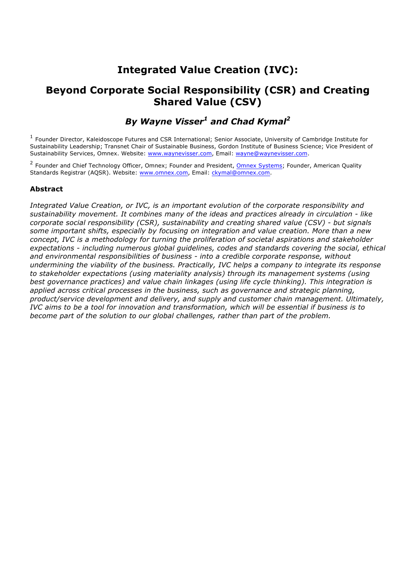# **Integrated Value Creation (IVC):**

## **Beyond Corporate Social Responsibility (CSR) and Creating Shared Value (CSV)**

*By Wayne Visser1 and Chad Kymal2*

<sup>1</sup> Founder Director, Kaleidoscope Futures and CSR International; Senior Associate, University of Cambridge Institute for Sustainability Leadership; Transnet Chair of Sustainable Business, Gordon Institute of Business Science; Vice President of Sustainability Services, Omnex. Website: www.waynevisser.com, Email: wayne@waynevisser.com.

<sup>2</sup> Founder and Chief Technology Officer, Omnex; Founder and President, Omnex Systems; Founder, American Quality Standards Registrar (AQSR). Website: www.omnex.com, Email: ckymal@omnex.com.

## **Abstract**

*Integrated Value Creation, or IVC, is an important evolution of the corporate responsibility and sustainability movement. It combines many of the ideas and practices already in circulation - like corporate social responsibility (CSR), sustainability and creating shared value (CSV) - but signals some important shifts, especially by focusing on integration and value creation. More than a new concept, IVC is a methodology for turning the proliferation of societal aspirations and stakeholder expectations - including numerous global guidelines, codes and standards covering the social, ethical and environmental responsibilities of business - into a credible corporate response, without undermining the viability of the business. Practically, IVC helps a company to integrate its response to stakeholder expectations (using materiality analysis) through its management systems (using best governance practices) and value chain linkages (using life cycle thinking). This integration is applied across critical processes in the business, such as governance and strategic planning, product/service development and delivery, and supply and customer chain management. Ultimately, IVC aims to be a tool for innovation and transformation, which will be essential if business is to become part of the solution to our global challenges, rather than part of the problem.*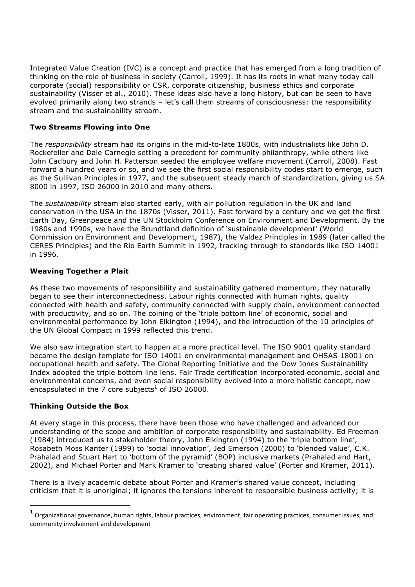Integrated Value Creation (IVC) is a concept and practice that has emerged from a long tradition of thinking on the role of business in society (Carroll, 1999). It has its roots in what many today call corporate (social) responsibility or CSR, corporate citizenship, business ethics and corporate sustainability (Visser et al., 2010). These ideas also have a long history, but can be seen to have evolved primarily along two strands – let's call them streams of consciousness: the responsibility stream and the sustainability stream.

#### **Two Streams Flowing into One**

The *responsibility* stream had its origins in the mid-to-late 1800s, with industrialists like John D. Rockefeller and Dale Carnegie setting a precedent for community philanthropy, while others like John Cadbury and John H. Patterson seeded the employee welfare movement (Carroll, 2008). Fast forward a hundred years or so, and we see the first social responsibility codes start to emerge, such as the Sullivan Principles in 1977, and the subsequent steady march of standardization, giving us SA 8000 in 1997, ISO 26000 in 2010 and many others.

The *sustainability* stream also started early, with air pollution regulation in the UK and land conservation in the USA in the 1870s (Visser, 2011). Fast forward by a century and we get the first Earth Day, Greenpeace and the UN Stockholm Conference on Environment and Development. By the 1980s and 1990s, we have the Brundtland definition of 'sustainable development' (World Commission on Environment and Development, 1987), the Valdez Principles in 1989 (later called the CERES Principles) and the Rio Earth Summit in 1992, tracking through to standards like ISO 14001 in 1996.

#### **Weaving Together a Plait**

As these two movements of responsibility and sustainability gathered momentum, they naturally began to see their interconnectedness. Labour rights connected with human rights, quality connected with health and safety, community connected with supply chain, environment connected with productivity, and so on. The coining of the 'triple bottom line' of economic, social and environmental performance by John Elkington (1994), and the introduction of the 10 principles of the UN Global Compact in 1999 reflected this trend.

We also saw integration start to happen at a more practical level. The ISO 9001 quality standard became the design template for ISO 14001 on environmental management and OHSAS 18001 on occupational health and safety. The Global Reporting Initiative and the Dow Jones Sustainability Index adopted the triple bottom line lens. Fair Trade certification incorporated economic, social and environmental concerns, and even social responsibility evolved into a more holistic concept, now encapsulated in the 7 core subjects<sup>1</sup> of ISO 26000.

#### **Thinking Outside the Box**

 $\overline{a}$ 

At every stage in this process, there have been those who have challenged and advanced our understanding of the scope and ambition of corporate responsibility and sustainability. Ed Freeman (1984) introduced us to stakeholder theory, John Elkington (1994) to the 'triple bottom line', Rosabeth Moss Kanter (1999) to 'social innovation', Jed Emerson (2000) to 'blended value', C.K. Prahalad and Stuart Hart to 'bottom of the pyramid' (BOP) inclusive markets (Prahalad and Hart, 2002), and Michael Porter and Mark Kramer to 'creating shared value' (Porter and Kramer, 2011).

There is a lively academic debate about Porter and Kramer's shared value concept, including criticism that it is unoriginal; it ignores the tensions inherent to responsible business activity; it is

Organizational governance, human rights, labour practices, environment, fair operating practices, consumer issues, and community involvement and development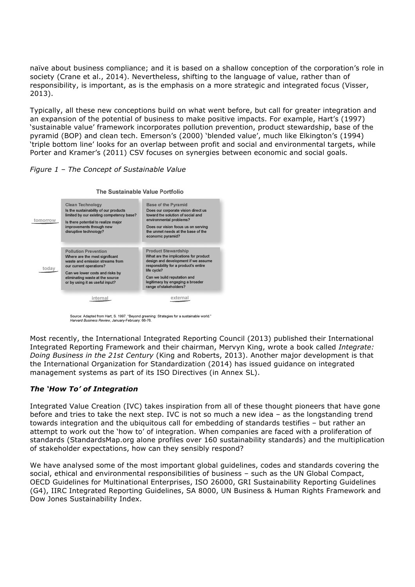naïve about business compliance; and it is based on a shallow conception of the corporation's role in society (Crane et al., 2014). Nevertheless, shifting to the language of value, rather than of responsibility, is important, as is the emphasis on a more strategic and integrated focus (Visser, 2013).

Typically, all these new conceptions build on what went before, but call for greater integration and an expansion of the potential of business to make positive impacts. For example, Hart's (1997) 'sustainable value' framework incorporates pollution prevention, product stewardship, base of the pyramid (BOP) and clean tech. Emerson's (2000) 'blended value', much like Elkington's (1994) 'triple bottom line' looks for an overlap between profit and social and environmental targets, while Porter and Kramer's (2011) CSV focuses on synergies between economic and social goals.

#### *Figure 1 – The Concept of Sustainable Value*



Source: Adapted from Hart, S. 1997. "Beyond greening: Strategies for a sustainable world." Harvard Business Review, January-February: 66-76.

Most recently, the International Integrated Reporting Council (2013) published their International Integrated Reporting Framework and their chairman, Mervyn King, wrote a book called *Integrate: Doing Business in the 21st Century* (King and Roberts, 2013). Another major development is that the International Organization for Standardization (2014) has issued guidance on integrated management systems as part of its ISO Directives (in Annex SL).

## *The 'How To' of Integration*

Integrated Value Creation (IVC) takes inspiration from all of these thought pioneers that have gone before and tries to take the next step. IVC is not so much a new idea – as the longstanding trend towards integration and the ubiquitous call for embedding of standards testifies – but rather an attempt to work out the 'how to' of integration. When companies are faced with a proliferation of standards (StandardsMap.org alone profiles over 160 sustainability standards) and the multiplication of stakeholder expectations, how can they sensibly respond?

We have analysed some of the most important global guidelines, codes and standards covering the social, ethical and environmental responsibilities of business – such as the UN Global Compact, OECD Guidelines for Multinational Enterprises, ISO 26000, GRI Sustainability Reporting Guidelines (G4), IIRC Integrated Reporting Guidelines, SA 8000, UN Business & Human Rights Framework and Dow Jones Sustainability Index.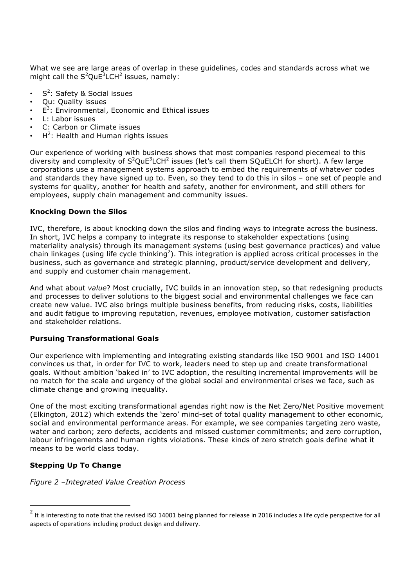What we see are large areas of overlap in these guidelines, codes and standards across what we might call the  $S^2$ QuE ${}^{3}$ LCH ${}^{2}$  issues, namely:

- $S^2$ : Safety & Social issues
- Qu: Quality issues
- $\cdot$   $E^3$ : Environmental, Economic and Ethical issues
- L: Labor issues
- C: Carbon or Climate issues
- $H^2$ : Health and Human rights issues

Our experience of working with business shows that most companies respond piecemeal to this diversity and complexity of  $S^2$ QuE<sup>3</sup>LCH<sup>2</sup> issues (let's call them SQuELCH for short). A few large corporations use a management systems approach to embed the requirements of whatever codes and standards they have signed up to. Even, so they tend to do this in silos – one set of people and systems for quality, another for health and safety, another for environment, and still others for employees, supply chain management and community issues.

#### **Knocking Down the Silos**

IVC, therefore, is about knocking down the silos and finding ways to integrate across the business. In short, IVC helps a company to integrate its response to stakeholder expectations (using materiality analysis) through its management systems (using best governance practices) and value chain linkages (using life cycle thinking<sup>2</sup>). This integration is applied across critical processes in the business, such as governance and strategic planning, product/service development and delivery, and supply and customer chain management.

And what about *value*? Most crucially, IVC builds in an innovation step, so that redesigning products and processes to deliver solutions to the biggest social and environmental challenges we face can create new value. IVC also brings multiple business benefits, from reducing risks, costs, liabilities and audit fatigue to improving reputation, revenues, employee motivation, customer satisfaction and stakeholder relations.

#### **Pursuing Transformational Goals**

Our experience with implementing and integrating existing standards like ISO 9001 and ISO 14001 convinces us that, in order for IVC to work, leaders need to step up and create transformational goals. Without ambition 'baked in' to IVC adoption, the resulting incremental improvements will be no match for the scale and urgency of the global social and environmental crises we face, such as climate change and growing inequality.

One of the most exciting transformational agendas right now is the Net Zero/Net Positive movement (Elkington, 2012) which extends the 'zero' mind-set of total quality management to other economic, social and environmental performance areas. For example, we see companies targeting zero waste, water and carbon; zero defects, accidents and missed customer commitments; and zero corruption, labour infringements and human rights violations. These kinds of zero stretch goals define what it means to be world class today.

## **Stepping Up To Change**

 $\overline{a}$ 

*Figure 2 –Integrated Value Creation Process*

It is interesting to note that the revised ISO 14001 being planned for release in 2016 includes a life cycle perspective for all aspects of operations including product design and delivery.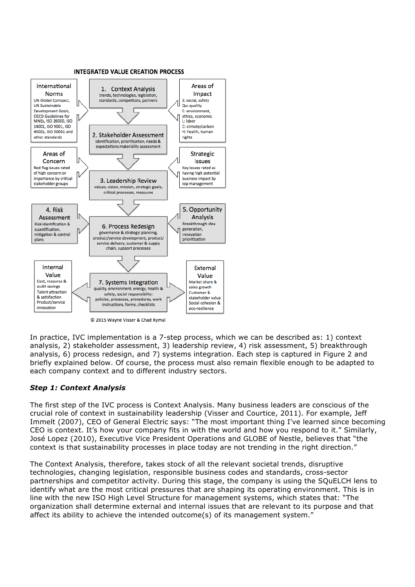

C 2015 Wayne Visser & Chad Kymal

In practice, IVC implementation is a 7-step process, which we can be described as: 1) context analysis, 2) stakeholder assessment, 3) leadership review, 4) risk assessment, 5) breakthrough analysis, 6) process redesign, and 7) systems integration. Each step is captured in Figure 2 and briefly explained below. Of course, the process must also remain flexible enough to be adapted to each company context and to different industry sectors.

## *Step 1: Context Analysis*

The first step of the IVC process is Context Analysis. Many business leaders are conscious of the crucial role of context in sustainability leadership (Visser and Courtice, 2011). For example, Jeff Immelt (2007), CEO of General Electric says: "The most important thing I've learned since becoming CEO is context. It's how your company fits in with the world and how you respond to it." Similarly, José Lopez (2010), Executive Vice President Operations and GLOBE of Nestle, believes that "the context is that sustainability processes in place today are not trending in the right direction."

The Context Analysis, therefore, takes stock of all the relevant societal trends, disruptive technologies, changing legislation, responsible business codes and standards, cross-sector partnerships and competitor activity. During this stage, the company is using the SQuELCH lens to identify what are the most critical pressures that are shaping its operating environment. This is in line with the new ISO High Level Structure for management systems, which states that: "The organization shall determine external and internal issues that are relevant to its purpose and that affect its ability to achieve the intended outcome(s) of its management system."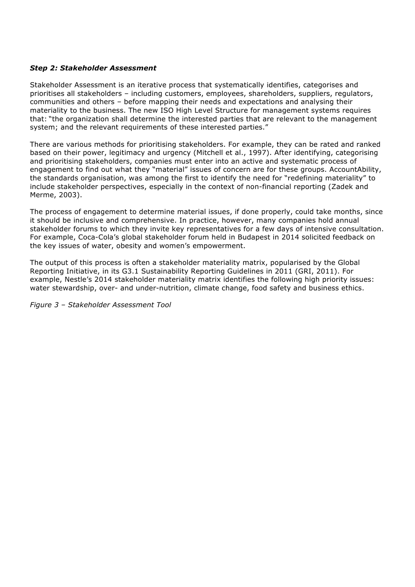## *Step 2: Stakeholder Assessment*

Stakeholder Assessment is an iterative process that systematically identifies, categorises and prioritises all stakeholders – including customers, employees, shareholders, suppliers, regulators, communities and others – before mapping their needs and expectations and analysing their materiality to the business. The new ISO High Level Structure for management systems requires that: "the organization shall determine the interested parties that are relevant to the management system; and the relevant requirements of these interested parties."

There are various methods for prioritising stakeholders. For example, they can be rated and ranked based on their power, legitimacy and urgency (Mitchell et al., 1997). After identifying, categorising and prioritising stakeholders, companies must enter into an active and systematic process of engagement to find out what they "material" issues of concern are for these groups. AccountAbility, the standards organisation, was among the first to identify the need for "redefining materiality" to include stakeholder perspectives, especially in the context of non-financial reporting (Zadek and Merme, 2003).

The process of engagement to determine material issues, if done properly, could take months, since it should be inclusive and comprehensive. In practice, however, many companies hold annual stakeholder forums to which they invite key representatives for a few days of intensive consultation. For example, Coca-Cola's global stakeholder forum held in Budapest in 2014 solicited feedback on the key issues of water, obesity and women's empowerment.

The output of this process is often a stakeholder materiality matrix, popularised by the Global Reporting Initiative, in its G3.1 Sustainability Reporting Guidelines in 2011 (GRI, 2011). For example, Nestle's 2014 stakeholder materiality matrix identifies the following high priority issues: water stewardship, over- and under-nutrition, climate change, food safety and business ethics.

*Figure 3 – Stakeholder Assessment Tool*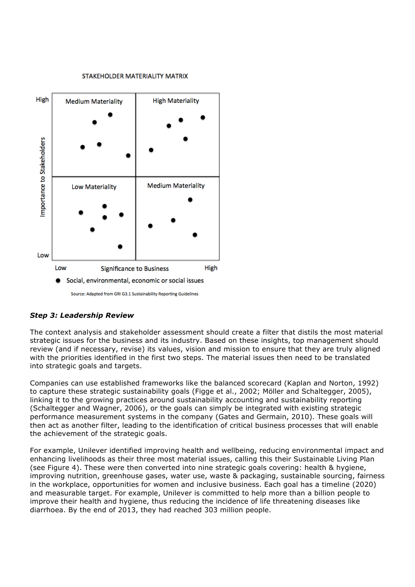#### STAKEHOLDER MATERIALITY MATRIX



## *Step 3: Leadership Review*

The context analysis and stakeholder assessment should create a filter that distils the most material strategic issues for the business and its industry. Based on these insights, top management should review (and if necessary, revise) its values, vision and mission to ensure that they are truly aligned with the priorities identified in the first two steps. The material issues then need to be translated into strategic goals and targets.

Companies can use established frameworks like the balanced scorecard (Kaplan and Norton, 1992) to capture these strategic sustainability goals (Figge et al., 2002; Möller and Schaltegger, 2005), linking it to the growing practices around sustainability accounting and sustainability reporting (Schaltegger and Wagner, 2006), or the goals can simply be integrated with existing strategic performance measurement systems in the company (Gates and Germain, 2010). These goals will then act as another filter, leading to the identification of critical business processes that will enable the achievement of the strategic goals.

For example, Unilever identified improving health and wellbeing, reducing environmental impact and enhancing livelihoods as their three most material issues, calling this their Sustainable Living Plan (see Figure 4). These were then converted into nine strategic goals covering: health & hygiene, improving nutrition, greenhouse gases, water use, waste & packaging, sustainable sourcing, fairness in the workplace, opportunities for women and inclusive business. Each goal has a timeline (2020) and measurable target. For example, Unilever is committed to help more than a billion people to improve their health and hygiene, thus reducing the incidence of life threatening diseases like diarrhoea. By the end of 2013, they had reached 303 million people.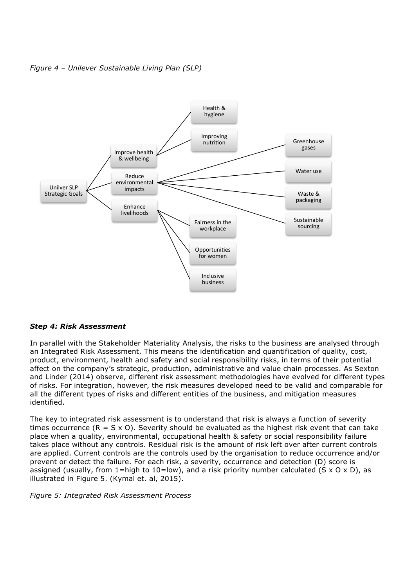*Figure 4 – Unilever Sustainable Living Plan (SLP)*



#### *Step 4: Risk Assessment*

In parallel with the Stakeholder Materiality Analysis, the risks to the business are analysed through an Integrated Risk Assessment. This means the identification and quantification of quality, cost, product, environment, health and safety and social responsibility risks, in terms of their potential affect on the company's strategic, production, administrative and value chain processes. As Sexton and Linder (2014) observe, different risk assessment methodologies have evolved for different types of risks. For integration, however, the risk measures developed need to be valid and comparable for all the different types of risks and different entities of the business, and mitigation measures identified.

The key to integrated risk assessment is to understand that risk is always a function of severity times occurrence  $(R = S \times O)$ . Severity should be evaluated as the highest risk event that can take place when a quality, environmental, occupational health & safety or social responsibility failure takes place without any controls. Residual risk is the amount of risk left over after current controls are applied. Current controls are the controls used by the organisation to reduce occurrence and/or prevent or detect the failure. For each risk, a severity, occurrence and detection (D) score is assigned (usually, from 1=high to 10=low), and a risk priority number calculated (S x O x D), as illustrated in Figure 5. (Kymal et. al, 2015).

*Figure 5: Integrated Risk Assessment Process*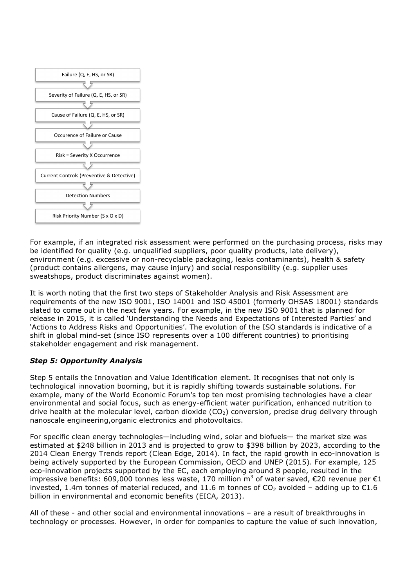

For example, if an integrated risk assessment were performed on the purchasing process, risks may be identified for quality (e.g. unqualified suppliers, poor quality products, late delivery), environment (e.g. excessive or non-recyclable packaging, leaks contaminants), health & safety (product contains allergens, may cause injury) and social responsibility (e.g. supplier uses sweatshops, product discriminates against women).

It is worth noting that the first two steps of Stakeholder Analysis and Risk Assessment are requirements of the new ISO 9001, ISO 14001 and ISO 45001 (formerly OHSAS 18001) standards slated to come out in the next few years. For example, in the new ISO 9001 that is planned for release in 2015, it is called 'Understanding the Needs and Expectations of Interested Parties' and 'Actions to Address Risks and Opportunities'. The evolution of the ISO standards is indicative of a shift in global mind-set (since ISO represents over a 100 different countries) to prioritising stakeholder engagement and risk management.

## *Step 5: Opportunity Analysis*

Step 5 entails the Innovation and Value Identification element. It recognises that not only is technological innovation booming, but it is rapidly shifting towards sustainable solutions. For example, many of the World Economic Forum's top ten most promising technologies have a clear environmental and social focus, such as energy-efficient water purification, enhanced nutrition to drive health at the molecular level, carbon dioxide  $(CO<sub>2</sub>)$  conversion, precise drug delivery through nanoscale engineering,organic electronics and photovoltaics.

For specific clean energy technologies—including wind, solar and biofuels— the market size was estimated at \$248 billion in 2013 and is projected to grow to \$398 billion by 2023, according to the 2014 Clean Energy Trends report (Clean Edge, 2014). In fact, the rapid growth in eco-innovation is being actively supported by the European Commission, OECD and UNEP (2015). For example, 125 eco-innovation projects supported by the EC, each employing around 8 people, resulted in the impressive benefits: 609,000 tonnes less waste, 170 million m<sup>3</sup> of water saved, €20 revenue per €1 invested, 1.4m tonnes of material reduced, and 11.6 m tonnes of CO<sub>2</sub> avoided - adding up to  $\epsilon$ 1.6 billion in environmental and economic benefits (EICA, 2013).

All of these - and other social and environmental innovations – are a result of breakthroughs in technology or processes. However, in order for companies to capture the value of such innovation,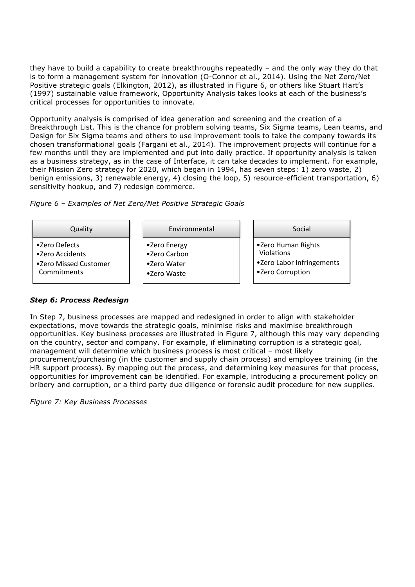they have to build a capability to create breakthroughs repeatedly – and the only way they do that is to form a management system for innovation (O-Connor et al., 2014). Using the Net Zero/Net Positive strategic goals (Elkington, 2012), as illustrated in Figure 6, or others like Stuart Hart's (1997) sustainable value framework, Opportunity Analysis takes looks at each of the business's critical processes for opportunities to innovate.

Opportunity analysis is comprised of idea generation and screening and the creation of a Breakthrough List. This is the chance for problem solving teams, Six Sigma teams, Lean teams, and Design for Six Sigma teams and others to use improvement tools to take the company towards its chosen transformational goals (Fargani et al., 2014). The improvement projects will continue for a few months until they are implemented and put into daily practice. If opportunity analysis is taken as a business strategy, as in the case of Interface, it can take decades to implement. For example, their Mission Zero strategy for 2020, which began in 1994, has seven steps: 1) zero waste, 2) benign emissions, 3) renewable energy, 4) closing the loop, 5) resource-efficient transportation, 6) sensitivity hookup, and 7) redesign commerce.

*Figure 6 – Examples of Net Zero/Net Positive Strategic Goals*



## *Step 6: Process Redesign*

In Step 7, business processes are mapped and redesigned in order to align with stakeholder expectations, move towards the strategic goals, minimise risks and maximise breakthrough opportunities. Key business processes are illustrated in Figure 7, although this may vary depending on the country, sector and company. For example, if eliminating corruption is a strategic goal, management will determine which business process is most critical - most likely procurement/purchasing (in the customer and supply chain process) and employee training (in the HR support process). By mapping out the process, and determining key measures for that process, opportunities for improvement can be identified. For example, introducing a procurement policy on bribery and corruption, or a third party due diligence or forensic audit procedure for new supplies.

*Figure 7: Key Business Processes*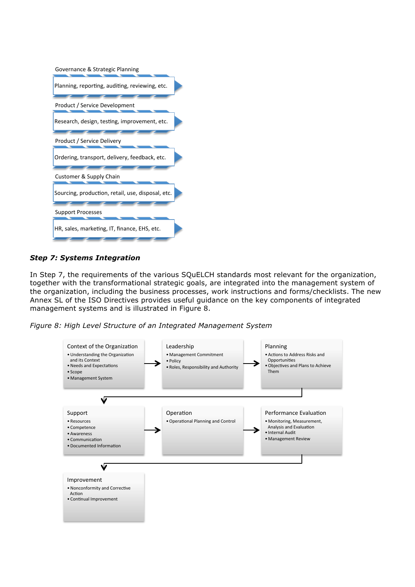

## *Step 7: Systems Integration*

In Step 7, the requirements of the various SQuELCH standards most relevant for the organization, together with the transformational strategic goals, are integrated into the management system of the organization, including the business processes, work instructions and forms/checklists. The new Annex SL of the ISO Directives provides useful guidance on the key components of integrated management systems and is illustrated in Figure 8.

*Figure 8: High Level Structure of an Integrated Management System*

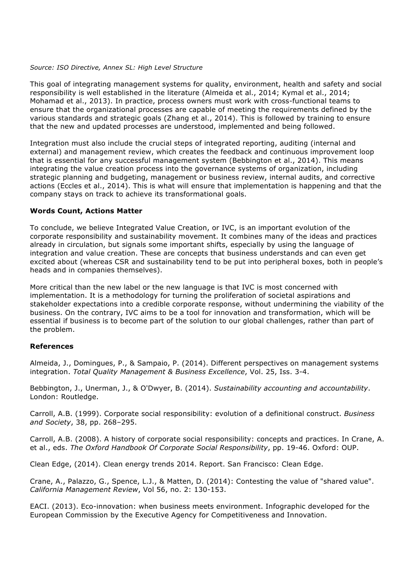#### *Source: ISO Directive, Annex SL: High Level Structure*

This goal of integrating management systems for quality, environment, health and safety and social responsibility is well established in the literature (Almeida et al., 2014; Kymal et al., 2014; Mohamad et al., 2013). In practice, process owners must work with cross-functional teams to ensure that the organizational processes are capable of meeting the requirements defined by the various standards and strategic goals (Zhang et al., 2014). This is followed by training to ensure that the new and updated processes are understood, implemented and being followed.

Integration must also include the crucial steps of integrated reporting, auditing (internal and external) and management review, which creates the feedback and continuous improvement loop that is essential for any successful management system (Bebbington et al., 2014). This means integrating the value creation process into the governance systems of organization, including strategic planning and budgeting, management or business review, internal audits, and corrective actions (Eccles et al., 2014). This is what will ensure that implementation is happening and that the company stays on track to achieve its transformational goals.

#### **Words Count, Actions Matter**

To conclude, we believe Integrated Value Creation, or IVC, is an important evolution of the corporate responsibility and sustainability movement. It combines many of the ideas and practices already in circulation, but signals some important shifts, especially by using the language of integration and value creation. These are concepts that business understands and can even get excited about (whereas CSR and sustainability tend to be put into peripheral boxes, both in people's heads and in companies themselves).

More critical than the new label or the new language is that IVC is most concerned with implementation. It is a methodology for turning the proliferation of societal aspirations and stakeholder expectations into a credible corporate response, without undermining the viability of the business. On the contrary, IVC aims to be a tool for innovation and transformation, which will be essential if business is to become part of the solution to our global challenges, rather than part of the problem.

#### **References**

Almeida, J., Domingues, P., & Sampaio, P. (2014). Different perspectives on management systems integration. *Total Quality Management & Business Excellence*, Vol. 25, Iss. 3-4.

Bebbington, J., Unerman, J., & O'Dwyer, B. (2014). *Sustainability accounting and accountability*. London: Routledge.

Carroll, A.B. (1999). Corporate social responsibility: evolution of a definitional construct. *Business and Society*, 38, pp. 268–295.

Carroll, A.B. (2008). A history of corporate social responsibility: concepts and practices. In Crane, A. et al., eds. *The Oxford Handbook Of Corporate Social Responsibility*, pp. 19-46. Oxford: OUP.

Clean Edge, (2014). Clean energy trends 2014. Report. San Francisco: Clean Edge.

Crane, A., Palazzo, G., Spence, L.J., & Matten, D. (2014): Contesting the value of "shared value". *California Management Review*, Vol 56, no. 2: 130-153.

EACI. (2013). Eco-innovation: when business meets environment. Infographic developed for the European Commission by the Executive Agency for Competitiveness and Innovation.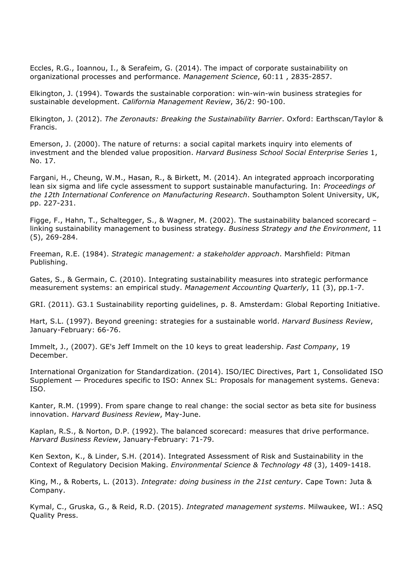Eccles, R.G., Ioannou, I., & Serafeim, G. (2014). The impact of corporate sustainability on organizational processes and performance. *Management Science*, 60:11 , 2835-2857.

Elkington, J. (1994). Towards the sustainable corporation: win-win-win business strategies for sustainable development. *California Management Review*, 36/2: 90-100.

Elkington, J. (2012). *The Zeronauts: Breaking the Sustainability Barrier*. Oxford: Earthscan/Taylor & Francis.

Emerson, J. (2000). The nature of returns: a social capital markets inquiry into elements of investment and the blended value proposition. *Harvard Business School Social Enterprise Series* 1, No. 17.

Fargani, H., Cheung, W.M., Hasan, R., & Birkett, M. (2014). An integrated approach incorporating lean six sigma and life cycle assessment to support sustainable manufacturing*.* In: *Proceedings of the 12th International Conference on Manufacturing Research*. Southampton Solent University, UK, pp. 227-231.

Figge, F., Hahn, T., Schaltegger, S., & Wagner, M. (2002). The sustainability balanced scorecard – linking sustainability management to business strategy. *Business Strategy and the Environment*, 11 (5), 269-284.

Freeman, R.E. (1984). *Strategic management: a stakeholder approach*. Marshfield: Pitman Publishing.

Gates, S., & Germain, C. (2010). Integrating sustainability measures into strategic performance measurement systems: an empirical study. *Management Accounting Quarterly*, 11 (3), pp.1-7.

GRI. (2011). G3.1 Sustainability reporting guidelines, p. 8. Amsterdam: Global Reporting Initiative.

Hart, S.L. (1997). Beyond greening: strategies for a sustainable world. *Harvard Business Review*, January-February: 66-76.

Immelt, J., (2007). GE's Jeff Immelt on the 10 keys to great leadership. *Fast Company*, 19 December.

International Organization for Standardization. (2014). ISO/IEC Directives, Part 1, Consolidated ISO Supplement — Procedures specific to ISO: Annex SL: Proposals for management systems. Geneva: ISO.

Kanter, R.M. (1999). From spare change to real change: the social sector as beta site for business innovation. *Harvard Business Review*, May-June.

Kaplan, R.S., & Norton, D.P. (1992). The balanced scorecard: measures that drive performance. *Harvard Business Review*, January-February: 71-79.

Ken Sexton, K., & Linder, S.H. (2014). Integrated Assessment of Risk and Sustainability in the Context of Regulatory Decision Making. *Environmental Science & Technology 48* (3), 1409-1418.

King, M., & Roberts, L. (2013). *Integrate: doing business in the 21st century*. Cape Town: Juta & Company.

Kymal, C., Gruska, G., & Reid, R.D. (2015). *Integrated management systems*. Milwaukee, WI.: ASQ Quality Press.